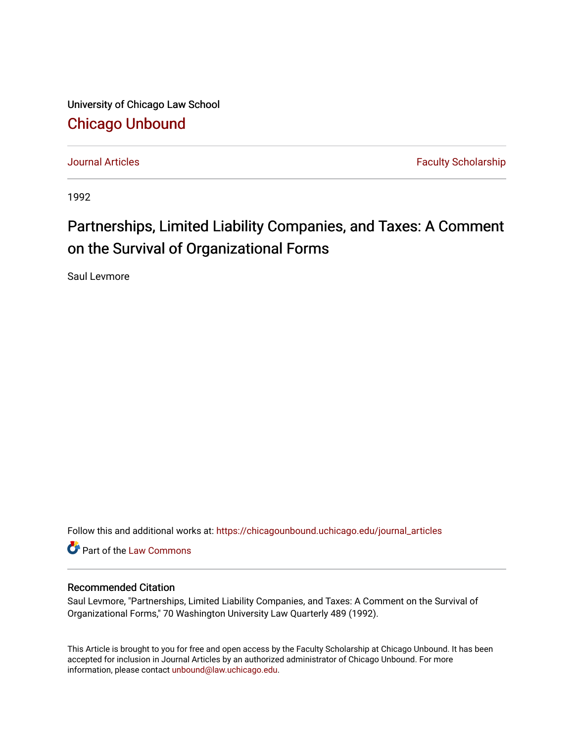University of Chicago Law School [Chicago Unbound](https://chicagounbound.uchicago.edu/)

[Journal Articles](https://chicagounbound.uchicago.edu/journal_articles) **Faculty Scholarship Journal Articles** 

1992

# Partnerships, Limited Liability Companies, and Taxes: A Comment on the Survival of Organizational Forms

Saul Levmore

Follow this and additional works at: [https://chicagounbound.uchicago.edu/journal\\_articles](https://chicagounbound.uchicago.edu/journal_articles?utm_source=chicagounbound.uchicago.edu%2Fjournal_articles%2F1614&utm_medium=PDF&utm_campaign=PDFCoverPages) 

Part of the [Law Commons](http://network.bepress.com/hgg/discipline/578?utm_source=chicagounbound.uchicago.edu%2Fjournal_articles%2F1614&utm_medium=PDF&utm_campaign=PDFCoverPages)

## Recommended Citation

Saul Levmore, "Partnerships, Limited Liability Companies, and Taxes: A Comment on the Survival of Organizational Forms," 70 Washington University Law Quarterly 489 (1992).

This Article is brought to you for free and open access by the Faculty Scholarship at Chicago Unbound. It has been accepted for inclusion in Journal Articles by an authorized administrator of Chicago Unbound. For more information, please contact [unbound@law.uchicago.edu](mailto:unbound@law.uchicago.edu).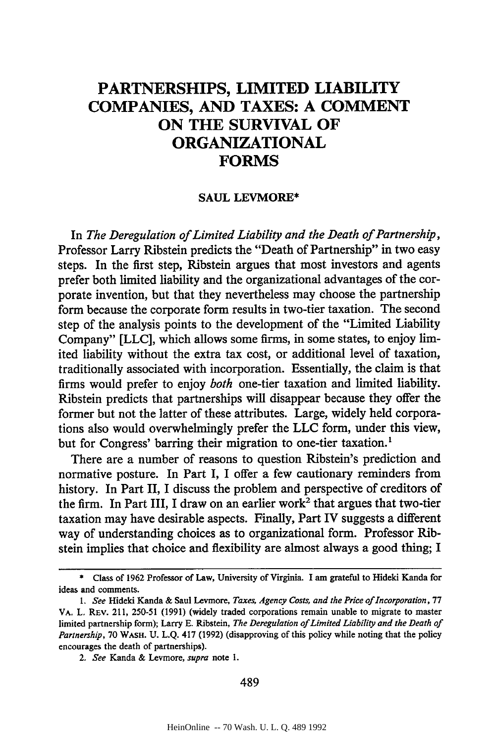# **PARTNERSHIPS, LIMITED LIABILITY COMPANIES, AND TAXES: A COMMENT ON THE SURVIVAL OF ORGANIZATIONAL FORMS**

#### **SAUL LEVMORE\***

In *The Deregulation of Limited Liability and the Death of Partnership,* Professor Larry Ribstein predicts the "Death of Partnership" in two easy steps. In the first step, Ribstein argues that most investors and agents prefer both limited liability and the organizational advantages of the corporate invention, but that they nevertheless may choose the partnership form because the corporate form results in two-tier taxation. The second step of the analysis points to the development of the "Limited Liability Company" **[LLC],** which allows some firms, in some states, to enjoy **lim**ited liability without the extra tax cost, or additional level of taxation, traditionally associated with incorporation. Essentially, the claim is that firms would prefer to enjoy *both* one-tier taxation and limited liability. Ribstein predicts that partnerships will disappear because they offer the former but not the latter of these attributes. Large, widely held corporations also would overwhelmingly prefer the LLC form, under this view, but for Congress' barring their migration to one-tier taxation.'

There are a number of reasons to question Ribstein's prediction and normative posture. In Part I, I offer a few cautionary reminders from history. In Part II, I discuss the problem and perspective of creditors of the firm. In Part III, I draw on an earlier work<sup>2</sup> that argues that two-tier taxation may have desirable aspects. Finally, Part IV suggests a different way of understanding choices as to organizational form. Professor Ribstein implies that choice and flexibility are almost always a good thing; I

<sup>\*</sup> Class of 1962 Professor of Law, University of Virginia. I am grateful to Hideki Kanda for ideas and comments.

*<sup>1.</sup> See* Hideki Kanda & Saul Levmore, *Taxes, Agency Costs, and the Price of Incorporation,* <sup>77</sup> VA. *L.* REv. 211, 250-51 (1991) (widely traded corporations remain unable to migrate to master limited partnership form); Larry E. Ribstein, *The Deregulation of Limited Liability and the Death of Partnership,* 70 WASH. U. L.Q. 417 (1992) (disapproving of this policy while noting that the policy encourages the death of partnerships).

*<sup>2.</sup> See* Kanda & Levmore, *supra* note **1.**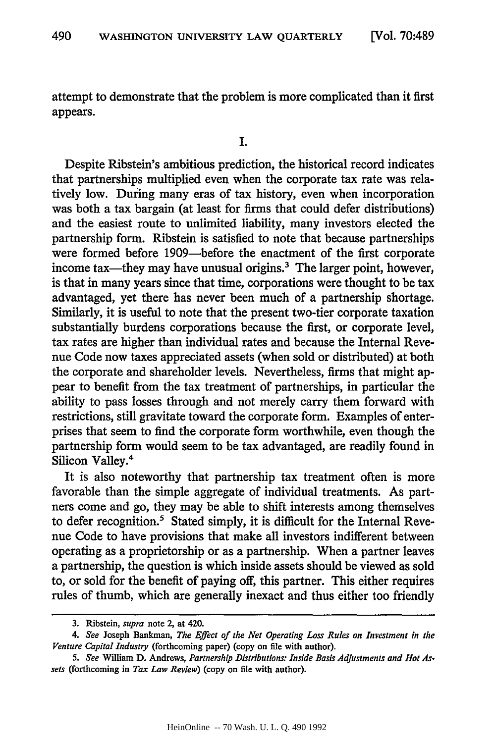attempt to demonstrate that the problem is more complicated than it first appears.

Despite Ribstein's ambitious prediction, the historical record indicates that partnerships multiplied even when the corporate tax rate was relatively low. During many eras of tax history, even when incorporation was both a tax bargain (at least for firms that could defer distributions) and the easiest route to unlimited liability, many investors elected the partnership form. Ribstein is satisfied to note that because partnerships were formed before 1909-before the enactment of the first corporate income tax—they may have unusual origins.<sup>3</sup> The larger point, however, is that in many years since that time, corporations were thought to be tax advantaged, yet there has never been much of a partnership shortage. Similarly, it is useful to note that the present two-tier corporate taxation substantially burdens corporations because the first, or corporate level, tax rates are higher than individual rates and because the Internal Revenue Code now taxes appreciated assets (when sold or distributed) at both the corporate and shareholder levels. Nevertheless, firms that might appear to benefit from the tax treatment of partnerships, in particular the ability to pass losses through and not merely carry them forward with restrictions, still gravitate toward the corporate form. Examples of enterprises that seem to find the corporate form worthwhile, even though the partnership form would seem to be tax advantaged, are readily found in Silicon Valley.4

It is also noteworthy that partnership tax treatment often is more favorable than the simple aggregate of individual treatments. As partners come and go, they may be able to shift interests among themselves to defer recognition.<sup>5</sup> Stated simply, it is difficult for the Internal Revenue Code to have provisions that make all investors indifferent between operating as a proprietorship or as a partnership. When a partner leaves a partnership, the question is which inside assets should be viewed as sold to, or sold for the benefit of paying off, this partner. This either requires rules of thumb, which are generally inexact and thus either too friendly

<sup>3.</sup> Ribstein, *supra* note 2, at 420.

<sup>4.</sup> *See* Joseph Bankman, *The Effect of the Net Operating Loss Rules on Investment in the Venture Capital Industry* (forthcoming paper) (copy on file with author).

*<sup>5.</sup> See* William D. Andrews, *Partnership Distributions: Inside Basis Adjustments and Hot As. sets* (forthcoming in *Tax Law Review)* (copy on file with author).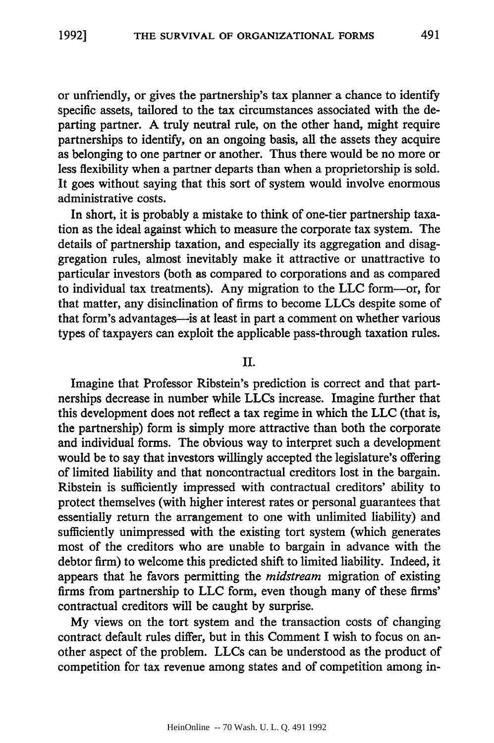or unfriendly, or gives the partnership's tax planner a chance to identify specific assets, tailored to the tax circumstances associated with the departing partner. A truly neutral rule, on the other hand, might require partnerships to identify, on an ongoing basis, all the assets they acquire as belonging to one partner or another. Thus there would be no more or less flexibility when a partner departs than when a proprietorship is sold. It goes without saying that this sort of system would involve enormous administrative costs.

In short, it is probably a mistake to think of one-tier partnership taxation as the ideal against which to measure the corporate tax system. The details of partnership taxation, and especially its aggregation and disaggregation rules, almost inevitably make it attractive or unattractive to particular investors (both as compared to corporations and as compared to individual tax treatments). Any migration to the LLC form--or, for that matter, any disinclination of firms to become LLCs despite some of that form's advantages-is at least in part a comment on whether various types of taxpayers can exploit the applicable pass-through taxation rules.

#### II.

Imagine that Professor Ribstein's prediction is correct and that partnerships decrease in number while LLCs increase. Imagine further that this development does not reflect a tax regime in which the LLC (that is, the partnership) form is simply more attractive than both the corporate and individual forms. The obvious way to interpret such a development would be to say that investors willingly accepted the legislature's offering of limited liability and that noncontractual creditors lost in the bargain. Ribstein is sufficiently impressed with contractual creditors' ability to protect themselves (with higher interest rates or personal guarantees that essentially return the arrangement to one with unlimited liability) and sufficiently unimpressed with the existing tort system (which generates most of the creditors who are unable to bargain in advance with the debtor firm) to welcome this predicted shift to limited liability. Indeed, it appears that he favors permitting the *midstream* migration of existing firms from partnership to LLC form, even though many of these firms' contractual creditors will be caught by surprise.

My views on the tort system and the transaction costs of changing contract default rules differ, but in this Comment I wish to focus on another aspect of the problem. LLCs can be understood as the product of competition for tax revenue among states and of competition among in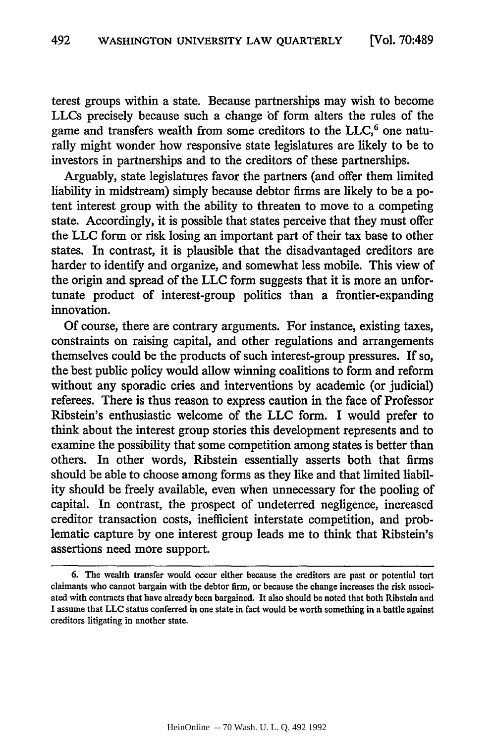terest groups within a state. Because partnerships may wish to become LLCs precisely because such a change of form alters the rules of the game and transfers wealth from some creditors to the  $LLC<sub>6</sub>$ <sup>6</sup> one naturally might wonder how responsive state legislatures are likely to be to investors in partnerships and to the creditors of these partnerships.

Arguably, state legislatures favor the partners (and offer them limited liability in midstream) simply because debtor firms are likely to be a potent interest group with the ability to threaten to move to a competing state. Accordingly, it is possible that states perceive that they must offer the **LLC** form or risk losing an important part of their tax base to other states. In contrast, it is plausible that the disadvantaged creditors are harder to identify and organize, and somewhat less mobile. This view of the origin and spread of the LLC form suggests that it is more an unfortunate product of interest-group politics than a frontier-expanding innovation.

Of course, there are contrary arguments. For instance, existing taxes, constraints on raising capital, and other regulations and arrangements themselves could be the products of such interest-group pressures. If so, the best public policy would allow winning coalitions to form and reform without any sporadic cries and interventions by academic (or judicial) referees. There is thus reason to express caution in the face of Professor Ribstein's enthusiastic welcome of the LLC form. I would prefer to think about the interest group stories this development represents and to examine the possibility that some competition among states is better than others. In other words, Ribstein essentially asserts both that firms should be able to choose among forms as they like and that limited liability should be freely available, even when unnecessary for the pooling of capital. In contrast, the prospect of undeterred negligence, increased creditor transaction costs, inefficient interstate competition, and problematic capture by one interest group leads me to think that Ribstein's assertions need more support.

<sup>6.</sup> The wealth transfer would occur either because the creditors are past or potential tort claimants who cannot bargain with the debtor firm, or because the change increases the risk associated with contracts that have already been bargained. It also should be noted that both Ribstein and I assume that LLC status conferred in one state in fact would be worth something in a battle against creditors litigating in another state.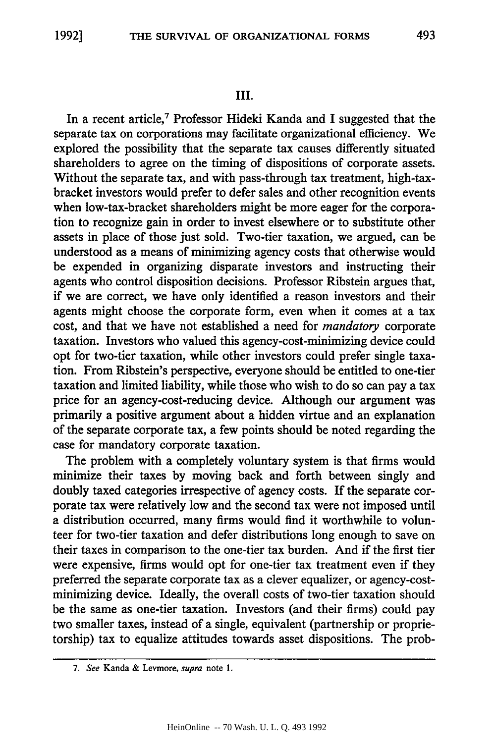#### III.

In a recent article,<sup>7</sup> Professor Hideki Kanda and I suggested that the separate tax on corporations may facilitate organizational efficiency. We explored the possibility that the separate tax causes differently situated shareholders to agree on the timing of dispositions of corporate assets. Without the separate tax, and with pass-through tax treatment, high-taxbracket investors would prefer to defer sales and other recognition events when low-tax-bracket shareholders might be more eager for the corporation to recognize gain in order to invest elsewhere or to substitute other assets in place of those just sold. Two-tier taxation, we argued, can be understood as a means of minimizing agency costs that otherwise would be expended in organizing disparate investors and instructing their agents who control disposition decisions. Professor Ribstein argues that, if we are correct, we have only identified a reason investors and their agents might choose the corporate form, even when it comes at a tax cost, and that we have not established a need for *mandatory* corporate taxation. Investors who valued this agency-cost-minimizing device could opt for two-tier taxation, while other investors could prefer single taxation. From Ribstein's perspective, everyone should be entitled to one-tier taxation and limited liability, while those who wish to do so can pay a tax price for an agency-cost-reducing device. Although our argument was primarily a positive argument about a hidden virtue and an explanation of the separate corporate tax, a few points should be noted regarding the case for mandatory corporate taxation.

The problem with a completely voluntary system is that firms would minimize their taxes by moving back and forth between singly and doubly taxed categories irrespective of agency costs. If the separate corporate tax were relatively low and the second tax were not imposed until a distribution occurred, many firms would find it worthwhile to volunteer for two-tier taxation and defer distributions long enough to save on their taxes in comparison to the one-tier tax burden. And if the first tier were expensive, firms would opt for one-tier tax treatment even if they preferred the separate corporate tax as a clever equalizer, or agency-costminimizing device. Ideally, the overall costs of two-tier taxation should be the same as one-tier taxation. Investors (and their firms) could pay two smaller taxes, instead of a single, equivalent (partnership or proprietorship) tax to equalize attitudes towards asset dispositions. The prob-

*<sup>7.</sup> See* Kanda **& Levmore,** *supra* note **1.**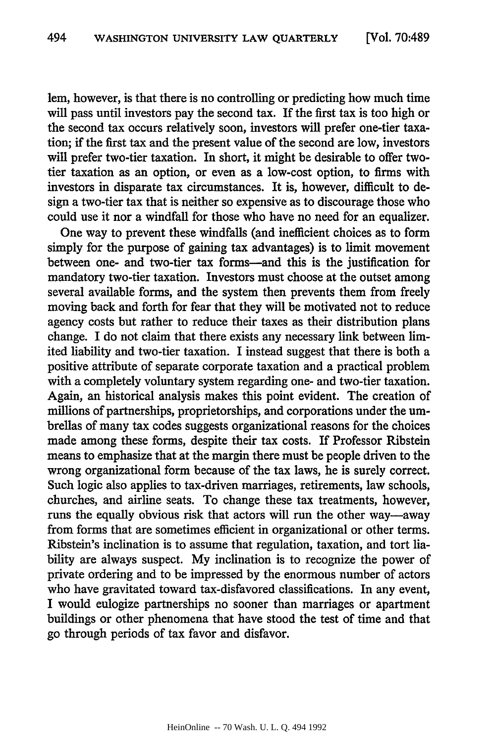lem, however, is that there is no controlling or predicting how much time will pass until investors pay the second tax. If the first tax is too high or the second tax occurs relatively soon, investors will prefer one-tier taxation; if the first tax and the present value of the second are low, investors will prefer two-tier taxation. In short, it might be desirable to offer twotier taxation as an option, or even as a low-cost option, to firms with investors in disparate tax circumstances. It is, however, difficult to design a two-tier tax that is neither so expensive as to discourage those who could use it nor a windfall for those who have no need for an equalizer.

One way to prevent these windfalls (and inefficient choices as to form simply for the purpose of gaining tax advantages) is to limit movement between one- and two-tier tax forms-and this is the justification for mandatory two-tier taxation. Investors must choose at the outset among several available forms, and the system then prevents them from freely moving back and forth for fear that they will be motivated not to reduce agency costs but rather to reduce their taxes as their distribution plans change. I do not claim that there exists any necessary link between limited liability and two-tier taxation. I instead suggest that there is both a positive attribute of separate corporate taxation and a practical problem with a completely voluntary system regarding one- and two-tier taxation. Again, an historical analysis makes this point evident. The creation of millions of partnerships, proprietorships, and corporations under the umbrellas of many tax codes suggests organizational reasons for the choices made among these forms, despite their tax costs. If Professor Ribstein means to emphasize that at the margin there must be people driven to the wrong organizational form because of the tax laws, he is surely correct. Such logic also applies to tax-driven marriages, retirements, law schools, churches, and airline seats. To change these tax treatments, however, runs the equally obvious risk that actors will run the other way-away from forms that are sometimes efficient in organizational or other terms. Ribstein's inclination is to assume that regulation, taxation, and tort liability are always suspect. My inclination is to recognize the power of private ordering and to be impressed by the enormous number of actors who have gravitated toward tax-disfavored classifications. In any event, I would eulogize partnerships no sooner than marriages or apartment buildings or other phenomena that have stood the test of time and that go through periods of tax favor and disfavor.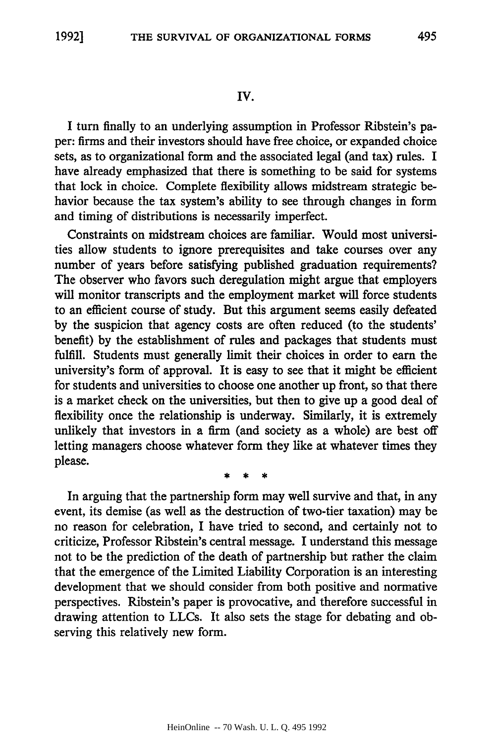## **IV.**

I turn finally to an underlying assumption in Professor Ribstein's paper: firms and their investors should have free choice, or expanded choice sets, as to organizational form and the associated legal (and tax) rules. I have already emphasized that there is something to be said for systems that lock in choice. Complete flexibility allows midstream strategic behavior because the tax system's ability to see through changes in form and timing of distributions is necessarily imperfect.

Constraints on midstream choices are familiar. Would most universities allow students to ignore prerequisites and take courses over any number of years before satisfying published graduation requirements? The observer who favors such deregulation might argue that employers will monitor transcripts and the employment market will force students to an efficient course of study. But this argument seems easily defeated by the suspicion that agency costs are often reduced (to the students' benefit) by the establishment of rules and packages that students must fulfill. Students must generally limit their choices in order to earn the university's form of approval. It is easy to see that it might be efficient for students and universities to choose one another up front, so that there is a market check on the universities, but then to give up a good deal of flexibility once the relationship is underway. Similarly, it is extremely unlikely that investors in a firm (and society as a whole) are best off letting managers choose whatever form they like at whatever times they please.

In arguing that the partnership form may well survive and that, in any event, its demise (as well as the destruction of two-tier taxation) may be no reason for celebration, I have tried to second, and certainly not to criticize, Professor Ribstein's central message. I understand this message not to be the prediction of the death of partnership but rather the claim that the emergence of the Limited Liability Corporation is an interesting development that we should consider from both positive and normative perspectives. Ribstein's paper is provocative, and therefore successful in drawing attention to LLCs. It also sets the stage for debating and observing this relatively new form.